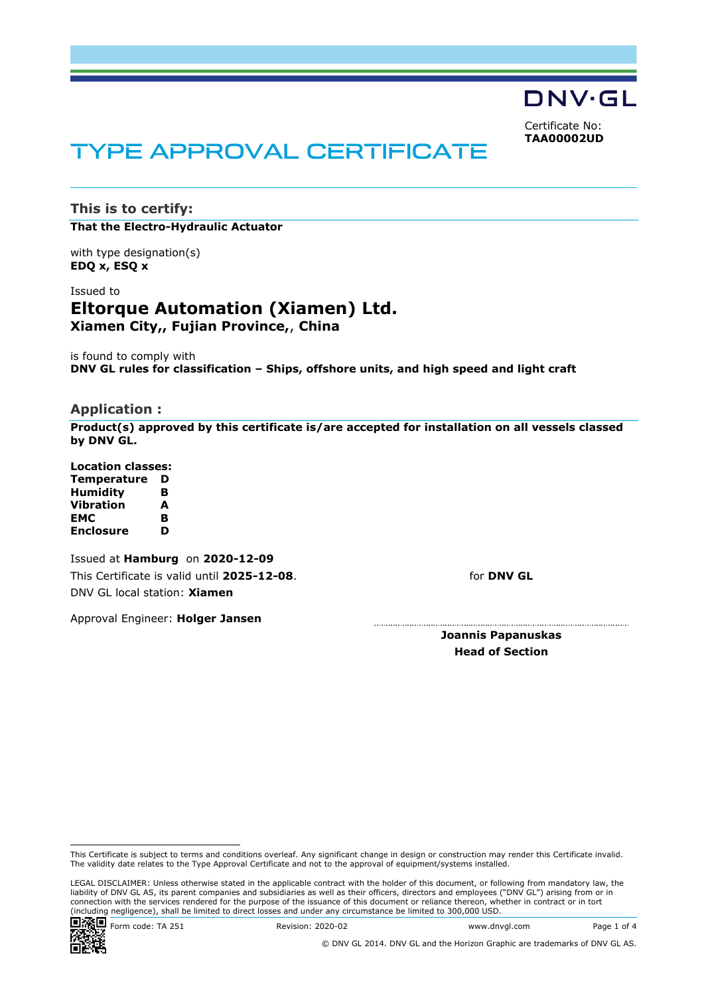DNV·GL

Certificate No: **TAA00002UD**

# TYPE APPROVAL CERTIFICATE

**This is to certify: That the Electro-Hydraulic Actuator**

with type designation(s) **EDQ x, ESQ x**

Issued to **Eltorque Automation (Xiamen) Ltd. Xiamen City,, Fujian Province,**, **China**

is found to comply with **DNV GL rules for classification – Ships, offshore units, and high speed and light craft**

#### **Application :**

**Product(s) approved by this certificate is/are accepted for installation on all vessels classed by DNV GL.**

**Location classes: Temperature D Humidity B Vibration A EMC B Enclosure D**

 Issued at **Hamburg** on **2020-12-09** This Certificate is valid until **2025-12-08**. DNV GL local station: **Xiamen**

for **DNV GL**

Approval Engineer: **Holger Jansen**

**Joannis Papanuskas Head of Section**

LEGAL DISCLAIMER: Unless otherwise stated in the applicable contract with the holder of this document, or following from mandatory law, the liability of DNV GL AS, its parent companies and subsidiaries as well as their officers, directors and employees ("DNV GL") arising from or in connection with the services rendered for the purpose of the issuance of this document or reliance thereon, whether in contract or in tort (including negligence), shall be limited to direct losses and under any circumstance be limited to 300,000 USD.



This Certificate is subject to terms and conditions overleaf. Any significant change in design or construction may render this Certificate invalid. The validity date relates to the Type Approval Certificate and not to the approval of equipment/systems installed.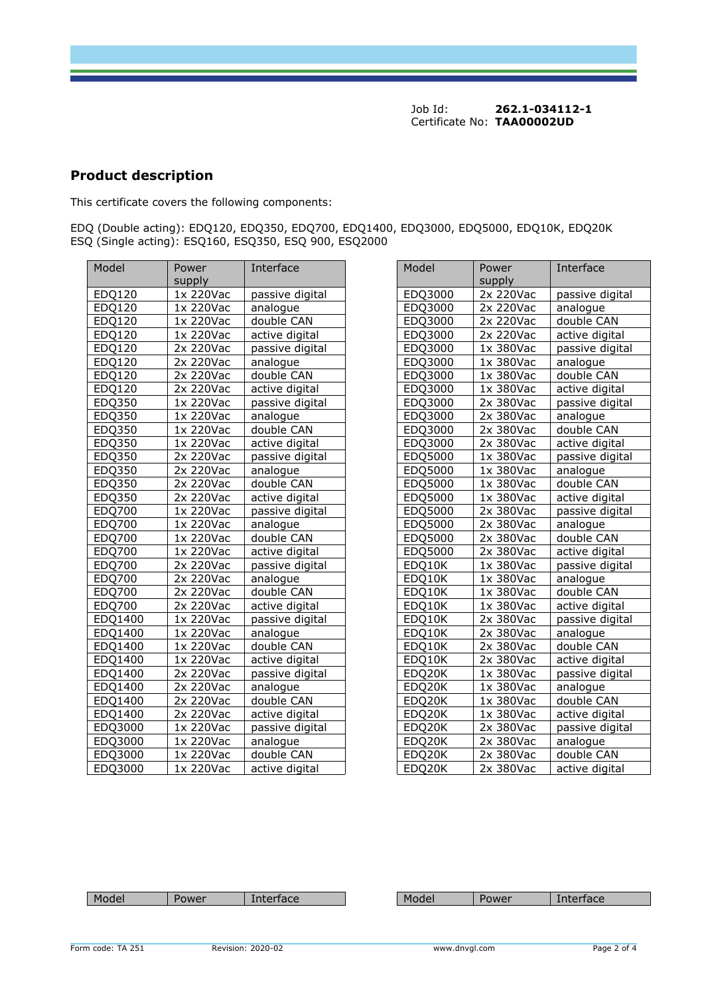Job Id: **262.1-034112-1**  Certificate No: **TAA00002UD**

## **Product description**

This certificate covers the following components:

EDQ (Double acting): EDQ120, EDQ350, EDQ700, EDQ1400, EDQ3000, EDQ5000, EDQ10K, EDQ20K ESQ (Single acting): ESQ160, ESQ350, ESQ 900, ESQ2000

| Model         | Power     | Interface       | Model   | Power       | Interface       |
|---------------|-----------|-----------------|---------|-------------|-----------------|
|               | supply    |                 |         | supply      |                 |
| EDQ120        | 1x 220Vac | passive digital | EDQ3000 | 2x 220Vac   | passive digital |
| EDQ120        | 1x 220Vac | analogue        | EDQ3000 | 2x 220Vac   | analogue        |
| EDQ120        | 1x 220Vac | double CAN      | EDQ3000 | 2x 220Vac   | double CAN      |
| EDQ120        | 1x 220Vac | active digital  | EDQ3000 | 2x 220Vac   | active digital  |
| EDQ120        | 2x 220Vac | passive digital | EDQ3000 | 1x 380Vac   | passive digital |
| EDQ120        | 2x 220Vac | analogue        | EDQ3000 | 1x 380Vac   | analogue        |
| EDQ120        | 2x 220Vac | double CAN      | EDQ3000 | 1x 380Vac   | double CAN      |
| EDQ120        | 2x 220Vac | active digital  | EDQ3000 | 1x 380Vac   | active digital  |
| EDQ350        | 1x 220Vac | passive digital | EDQ3000 | 2x 380Vac   | passive digital |
| EDQ350        | 1x 220Vac | analogue        | EDQ3000 | 2x 380Vac   | analogue        |
| EDQ350        | 1x 220Vac | double CAN      | EDQ3000 | 2x 380Vac   | double CAN      |
| EDQ350        | 1x 220Vac | active digital  | EDQ3000 | 2x 380Vac   | active digital  |
| EDQ350        | 2x 220Vac | passive digital | EDQ5000 | 1x 380Vac   | passive digital |
| EDQ350        | 2x 220Vac | analogue        | EDQ5000 | 1x 380Vac   | analogue        |
| EDQ350        | 2x 220Vac | double CAN      | EDQ5000 | 1x 380Vac   | double CAN      |
| EDQ350        | 2x 220Vac | active digital  | EDQ5000 | 1x 380Vac   | active digital  |
| <b>EDQ700</b> | 1x 220Vac | passive digital | EDQ5000 | 2x 380Vac   | passive digital |
| <b>EDQ700</b> | 1x 220Vac | analogue        | EDQ5000 | 2x 380Vac   | analogue        |
| <b>EDQ700</b> | 1x 220Vac | double CAN      | EDQ5000 | 2x 380Vac   | double CAN      |
| EDQ700        | 1x 220Vac | active digital  | EDQ5000 | 2x 380Vac   | active digital  |
| <b>EDQ700</b> | 2x 220Vac | passive digital | EDQ10K  | 1x 380Vac   | passive digital |
| <b>EDQ700</b> | 2x 220Vac | analogue        | EDQ10K  | 1x 380Vac   | analogue        |
| <b>EDQ700</b> | 2x 220Vac | double CAN      | EDQ10K  | $1x$ 380Vac | double CAN      |
| EDQ700        | 2x 220Vac | active digital  | EDQ10K  | 1x 380Vac   | active digital  |
| EDQ1400       | 1x 220Vac | passive digital | EDQ10K  | 2x 380Vac   | passive digital |
| EDQ1400       | 1x 220Vac | analogue        | EDQ10K  | 2x 380Vac   | analogue        |
| EDQ1400       | 1x 220Vac | double CAN      | EDQ10K  | 2x 380Vac   | double CAN      |
| EDQ1400       | 1x 220Vac | active digital  | EDQ10K  | 2x 380Vac   | active digital  |
| EDQ1400       | 2x 220Vac | passive digital | EDQ20K  | 1x 380Vac   | passive digital |
| EDQ1400       | 2x 220Vac | analogue        | EDQ20K  | 1x 380Vac   | analogue        |
| EDQ1400       | 2x 220Vac | double CAN      | EDQ20K  | 1x 380Vac   | double CAN      |
| EDQ1400       | 2x 220Vac | active digital  | EDQ20K  | 1x 380Vac   | active digital  |
| EDQ3000       | 1x 220Vac | passive digital | EDQ20K  | 2x 380Vac   | passive digital |
| EDQ3000       | 1x 220Vac | analogue        | EDQ20K  | 2x 380Vac   | analogue        |
| EDQ3000       | 1x 220Vac | double CAN      | EDQ20K  | 2x 380Vac   | double CAN      |
| EDQ3000       | 1x 220Vac | active digital  | EDQ20K  | 2x 380Vac   | active digital  |

| Interface       | Model   | Power<br>supply | Interface       |
|-----------------|---------|-----------------|-----------------|
| passive digital | EDQ3000 | 2x 220Vac       | passive digital |
| analogue        | EDQ3000 | 2x 220Vac       | analogue        |
| double CAN      | EDQ3000 | 2x 220Vac       | double CAN      |
| active digital  | EDQ3000 | 2x 220Vac       | active digital  |
| passive digital | EDQ3000 | 1x 380Vac       | passive digital |
| analogue        | EDQ3000 | 1x 380Vac       | analogue        |
| double CAN      | EDQ3000 | 1x 380Vac       | double CAN      |
| active digital  | EDQ3000 | 1x 380Vac       | active digital  |
| passive digital | EDQ3000 | 2x 380Vac       | passive digital |
| analogue        | EDQ3000 | 2x 380Vac       | analogue        |
| double CAN      | EDQ3000 | 2x 380Vac       | double CAN      |
| active digital  | EDQ3000 | 2x 380Vac       | active digital  |
| passive digital | EDQ5000 | 1x 380Vac       | passive digital |
| analogue        | EDQ5000 | 1x 380Vac       | analogue        |
| double CAN      | EDQ5000 | 1x 380Vac       | double CAN      |
| active digital  | EDQ5000 | 1x 380Vac       | active digital  |
| passive digital | EDQ5000 | 2x 380Vac       | passive digital |
| analogue        | EDQ5000 | 2x 380Vac       | analogue        |
| double CAN      | EDQ5000 | 2x 380Vac       | double CAN      |
| active digital  | EDQ5000 | 2x 380Vac       | active digital  |
| passive digital | EDQ10K  | 1x 380Vac       | passive digital |
| analogue        | EDQ10K  | 1x 380Vac       | analogue        |
| double CAN      | EDQ10K  | 1x 380Vac       | double CAN      |
| active digital  | EDQ10K  | 1x 380Vac       | active digital  |
| passive digital | EDQ10K  | 2x 380Vac       | passive digital |
| analogue        | EDQ10K  | 2x 380Vac       | analogue        |
| double CAN      | EDQ10K  | 2x 380Vac       | double CAN      |
| active digital  | EDQ10K  | 2x 380Vac       | active digital  |
| passive digital | EDQ20K  | 1x 380Vac       | passive digital |
| analogue        | EDQ20K  | 1x 380Vac       | analogue        |
| double CAN      | EDQ20K  | 1x 380Vac       | double CAN      |
| active digital  | EDQ20K  | 1x 380Vac       | active digital  |
| passive digital | EDQ20K  | 2x 380Vac       | passive digital |
| analogue        | EDQ20K  | 2x 380Vac       | analogue        |
| double CAN      | EDQ20K  | 2x 380Vac       | double CAN      |
| active digital  | FDO20K  | 2x 380Vac       | active digital  |

|  | - -<br>M | 1 VALI |  |  | . . | w |  |
|--|----------|--------|--|--|-----|---|--|
|--|----------|--------|--|--|-----|---|--|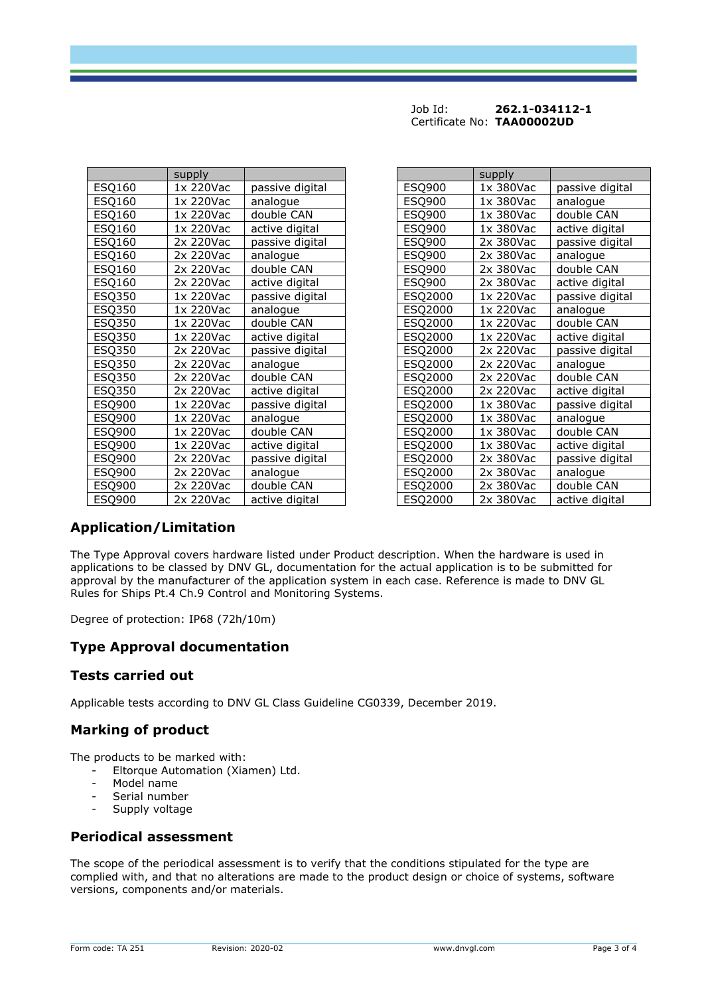| Job Id: | 262.1-034112-1             |
|---------|----------------------------|
|         | Certificate No: TAA00002UD |

|               | supply    |                 |               | supply    |                 |
|---------------|-----------|-----------------|---------------|-----------|-----------------|
| ESQ160        | 1x 220Vac | passive digital | <b>ESQ900</b> | 1x 380Vac | passive digital |
| ESQ160        | 1x 220Vac | analogue        | ESQ900        | 1x 380Vac | analogue        |
| ESQ160        | 1x 220Vac | double CAN      | <b>ESQ900</b> | 1x 380Vac | double CAN      |
| <b>ESQ160</b> | 1x 220Vac | active digital  | ESQ900        | 1x 380Vac | active digital  |
| ESQ160        | 2x 220Vac | passive digital | ESQ900        | 2x 380Vac | passive digital |
| <b>ESQ160</b> | 2x 220Vac | analogue        | ESQ900        | 2x 380Vac | analogue        |
| ESQ160        | 2x 220Vac | double CAN      | ESQ900        | 2x 380Vac | double CAN      |
| <b>ESQ160</b> | 2x 220Vac | active digital  | ESQ900        | 2x 380Vac | active digital  |
| ESQ350        | 1x 220Vac | passive digital | ESQ2000       | 1x 220Vac | passive digital |
| <b>ESQ350</b> | 1x 220Vac | analogue        | ESQ2000       | 1x 220Vac | analogue        |
| ESQ350        | 1x 220Vac | double CAN      | ESQ2000       | 1x 220Vac | double CAN      |
| <b>ESQ350</b> | 1x 220Vac | active digital  | ESQ2000       | 1x 220Vac | active digital  |
| ESQ350        | 2x 220Vac | passive digital | ESQ2000       | 2x 220Vac | passive digital |
| ESQ350        | 2x 220Vac | analogue        | ESQ2000       | 2x 220Vac | analogue        |
| ESQ350        | 2x 220Vac | double CAN      | ESQ2000       | 2x 220Vac | double CAN      |
| ESQ350        | 2x 220Vac | active digital  | ESQ2000       | 2x 220Vac | active digital  |
| ESQ900        | 1x 220Vac | passive digital | ESQ2000       | 1x 380Vac | passive digital |
| ESQ900        | 1x 220Vac | analogue        | ESQ2000       | 1x 380Vac | analogue        |
| <b>ESQ900</b> | 1x 220Vac | double CAN      | ESQ2000       | 1x 380Vac | double CAN      |
| ESQ900        | 1x 220Vac | active digital  | ESQ2000       | 1x 380Vac | active digital  |
| <b>ESQ900</b> | 2x 220Vac | passive digital | ESQ2000       | 2x 380Vac | passive digital |
| <b>ESQ900</b> | 2x 220Vac | analogue        | ESQ2000       | 2x 380Vac | analogue        |
| <b>ESQ900</b> | 2x 220Vac | double CAN      | ESQ2000       | 2x 380Vac | double CAN      |
| <b>ESQ900</b> | 2x 220Vac | active digital  | ESQ2000       | 2x 380Vac | active digital  |

|         | supply    |                 |
|---------|-----------|-----------------|
| ESQ900  | 1x 380Vac | passive digital |
| ESQ900  | 1x 380Vac | analogue        |
| ESQ900  | 1x 380Vac | double CAN      |
| ESQ900  | 1x 380Vac | active digital  |
| ESQ900  | 2x 380Vac | passive digital |
| ESQ900  | 2x 380Vac | analogue        |
| ESQ900  | 2x 380Vac | double CAN      |
| ESQ900  | 2x 380Vac | active digital  |
| ESQ2000 | 1x 220Vac | passive digital |
| ESQ2000 | 1x 220Vac | analogue        |
| ESQ2000 | 1x 220Vac | double CAN      |
| ESQ2000 | 1x 220Vac | active digital  |
| ESQ2000 | 2x 220Vac | passive digital |
| ESQ2000 | 2x 220Vac | analogue        |
| ESQ2000 | 2x 220Vac | double CAN      |
| ESQ2000 | 2x 220Vac | active digital  |
| ESQ2000 | 1x 380Vac | passive digital |
| ESQ2000 | 1x 380Vac | analogue        |
| ESQ2000 | 1x 380Vac | double CAN      |
| ESQ2000 | 1x 380Vac | active digital  |
| ESQ2000 | 2x 380Vac | passive digital |
| ESQ2000 | 2x 380Vac | analogue        |
| ESQ2000 | 2x 380Vac | double CAN      |
| ESQ2000 | 2x 380Vac | active digital  |

## **Application/Limitation**

The Type Approval covers hardware listed under Product description. When the hardware is used in applications to be classed by DNV GL, documentation for the actual application is to be submitted for approval by the manufacturer of the application system in each case. Reference is made to DNV GL Rules for Ships Pt.4 Ch.9 Control and Monitoring Systems.

Degree of protection: IP68 (72h/10m)

### **Type Approval documentation**

### **Tests carried out**

Applicable tests according to DNV GL Class Guideline CG0339, December 2019.

## **Marking of product**

The products to be marked with:

- Eltorque Automation (Xiamen) Ltd.
- Model name
- Serial number
- Supply voltage

### **Periodical assessment**

The scope of the periodical assessment is to verify that the conditions stipulated for the type are complied with, and that no alterations are made to the product design or choice of systems, software versions, components and/or materials.